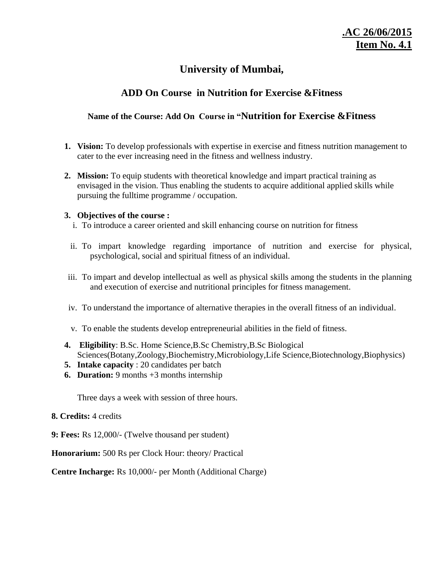# **University of Mumbai,**

# **ADD On Course in Nutrition for Exercise &Fitness**

# **Name of the Course: Add On Course in "Nutrition for Exercise &Fitness**

- **1. Vision:** To develop professionals with expertise in exercise and fitness nutrition management to cater to the ever increasing need in the fitness and wellness industry.
- **2. Mission:** To equip students with theoretical knowledge and impart practical training as envisaged in the vision. Thus enabling the students to acquire additional applied skills while pursuing the fulltime programme / occupation.

## **3. Objectives of the course :**

- i. To introduce a career oriented and skill enhancing course on nutrition for fitness
- ii. To impart knowledge regarding importance of nutrition and exercise for physical, psychological, social and spiritual fitness of an individual.
- iii. To impart and develop intellectual as well as physical skills among the students in the planning and execution of exercise and nutritional principles for fitness management.
- iv. To understand the importance of alternative therapies in the overall fitness of an individual.
- v. To enable the students develop entrepreneurial abilities in the field of fitness.
- **4. Eligibility**: B.Sc. Home Science,B.Sc Chemistry,B.Sc Biological Sciences(Botany,Zoology,Biochemistry,Microbiology,Life Science,Biotechnology,Biophysics)
- **5. Intake capacity** : 20 candidates per batch
- **6. Duration:** 9 months +3 months internship

Three days a week with session of three hours.

## **8. Credits:** 4 credits

**9: Fees:** Rs 12,000/- (Twelve thousand per student)

**Honorarium:** 500 Rs per Clock Hour: theory/ Practical

**Centre Incharge:** Rs 10,000/- per Month (Additional Charge)